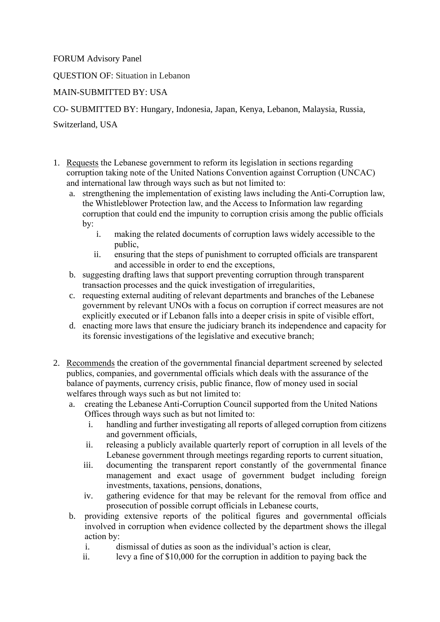FORUM Advisory Panel

QUESTION OF: Situation in Lebanon

## MAIN-SUBMITTED BY: USA

CO- SUBMITTED BY: Hungary, Indonesia, Japan, Kenya, Lebanon, Malaysia, Russia,

Switzerland, USA

- 1. Requests the Lebanese government to reform its legislation in sections regarding corruption taking note of the United Nations Convention against Corruption (UNCAC) and international law through ways such as but not limited to:
	- a. strengthening the implementation of existing laws including the Anti-Corruption law, the Whistleblower Protection law, and the Access to Information law regarding corruption that could end the impunity to corruption crisis among the public officials by:
		- i. making the related documents of corruption laws widely accessible to the public,
		- ii. ensuring that the steps of punishment to corrupted officials are transparent and accessible in order to end the exceptions,
	- b. suggesting drafting laws that support preventing corruption through transparent transaction processes and the quick investigation of irregularities,
	- c. requesting external auditing of relevant departments and branches of the Lebanese government by relevant UNOs with a focus on corruption if correct measures are not explicitly executed or if Lebanon falls into a deeper crisis in spite of visible effort,
	- d. enacting more laws that ensure the judiciary branch its independence and capacity for its forensic investigations of the legislative and executive branch;
- 2. Recommends the creation of the governmental financial department screened by selected publics, companies, and governmental officials which deals with the assurance of the balance of payments, currency crisis, public finance, flow of money used in social welfares through ways such as but not limited to:
	- a. creating the Lebanese Anti-Corruption Council supported from the United Nations Offices through ways such as but not limited to:
		- i. handling and further investigating all reports of alleged corruption from citizens and government officials,
		- ii. releasing a publicly available quarterly report of corruption in all levels of the Lebanese government through meetings regarding reports to current situation,
		- iii. documenting the transparent report constantly of the governmental finance management and exact usage of government budget including foreign investments, taxations, pensions, donations,
		- iv. gathering evidence for that may be relevant for the removal from office and prosecution of possible corrupt officials in Lebanese courts,
	- b. providing extensive reports of the political figures and governmental officials involved in corruption when evidence collected by the department shows the illegal action by:
		- i. dismissal of duties as soon as the individual's action is clear,
		- ii. levy a fine of \$10,000 for the corruption in addition to paying back the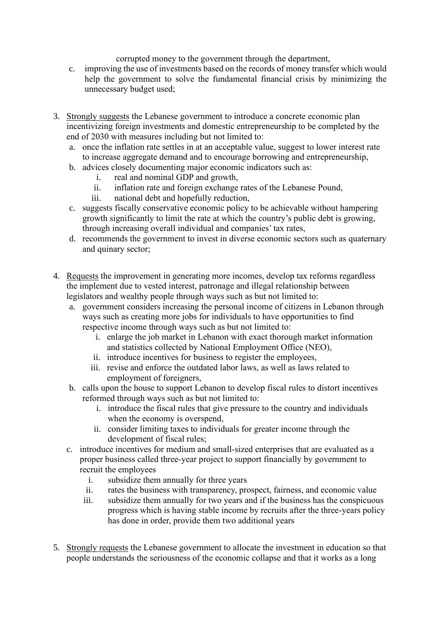corrupted money to the government through the department,

- c. improving the use of investments based on the records of money transfer which would help the government to solve the fundamental financial crisis by minimizing the unnecessary budget used;
- 3. Strongly suggests the Lebanese government to introduce a concrete economic plan incentivizing foreign investments and domestic entrepreneurship to be completed by the end of 2030 with measures including but not limited to:
	- a. once the inflation rate settles in at an acceptable value, suggest to lower interest rate to increase aggregate demand and to encourage borrowing and entrepreneurship,
	- b. advices closely documenting major economic indicators such as:
		- i. real and nominal GDP and growth,
		- ii. inflation rate and foreign exchange rates of the Lebanese Pound,
		- iii. national debt and hopefully reduction,
	- c. suggests fiscally conservative economic policy to be achievable without hampering growth significantly to limit the rate at which the country's public debt is growing, through increasing overall individual and companies' tax rates,
	- d. recommends the government to invest in diverse economic sectors such as quaternary and quinary sector;
- 4. Requests the improvement in generating more incomes, develop tax reforms regardless the implement due to vested interest, patronage and illegal relationship between legislators and wealthy people through ways such as but not limited to:
	- a. government considers increasing the personal income of citizens in Lebanon through ways such as creating more jobs for individuals to have opportunities to find respective income through ways such as but not limited to:
		- i. enlarge the job market in Lebanon with exact thorough market information and statistics collected by National Employment Office (NEO),
		- ii. introduce incentives for business to register the employees,
		- iii. revise and enforce the outdated labor laws, as well as laws related to employment of foreigners,
	- b. calls upon the house to support Lebanon to develop fiscal rules to distort incentives reformed through ways such as but not limited to:
		- i. introduce the fiscal rules that give pressure to the country and individuals when the economy is overspend,
		- ii. consider limiting taxes to individuals for greater income through the development of fiscal rules;
	- c. introduce incentives for medium and small-sized enterprises that are evaluated as a proper business called three-year project to support financially by government to recruit the employees
		- i. subsidize them annually for three years
		- ii. rates the business with transparency, prospect, fairness, and economic value
		- iii. subsidize them annually for two years and if the business has the conspicuous progress which is having stable income by recruits after the three-years policy has done in order, provide them two additional years
- 5. Strongly requests the Lebanese government to allocate the investment in education so that people understands the seriousness of the economic collapse and that it works as a long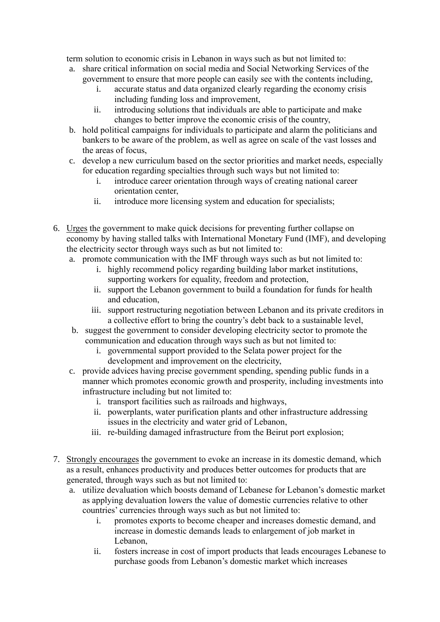term solution to economic crisis in Lebanon in ways such as but not limited to:

- a. share critical information on social media and Social Networking Services of the government to ensure that more people can easily see with the contents including,
	- accurate status and data organized clearly regarding the economy crisis including funding loss and improvement,
	- ii. introducing solutions that individuals are able to participate and make changes to better improve the economic crisis of the country,
- b. hold political campaigns for individuals to participate and alarm the politicians and bankers to be aware of the problem, as well as agree on scale of the vast losses and the areas of focus,
- c. develop a new curriculum based on the sector priorities and market needs, especially for education regarding specialties through such ways but not limited to:
	- i. introduce career orientation through ways of creating national career orientation center,
	- ii. introduce more licensing system and education for specialists;
- 6. Urges the government to make quick decisions for preventing further collapse on economy by having stalled talks with International Monetary Fund (IMF), and developing the electricity sector through ways such as but not limited to:
	- a. promote communication with the IMF through ways such as but not limited to:
		- i. highly recommend policy regarding building labor market institutions, supporting workers for equality, freedom and protection,
		- ii. support the Lebanon government to build a foundation for funds for health and education,
		- iii. support restructuring negotiation between Lebanon and its private creditors in a collective effort to bring the country's debt back to a sustainable level,
	- b. suggest the government to consider developing electricity sector to promote the communication and education through ways such as but not limited to:
		- i. governmental support provided to the Selata power project for the development and improvement on the electricity,
	- c. provide advices having precise government spending, spending public funds in a manner which promotes economic growth and prosperity, including investments into infrastructure including but not limited to:
		- i. transport facilities such as railroads and highways,
		- ii. powerplants, water purification plants and other infrastructure addressing issues in the electricity and water grid of Lebanon,
		- iii. re-building damaged infrastructure from the Beirut port explosion;
- 7. Strongly encourages the government to evoke an increase in its domestic demand, which as a result, enhances productivity and produces better outcomes for products that are generated, through ways such as but not limited to:
	- a. utilize devaluation which boosts demand of Lebanese for Lebanon's domestic market as applying devaluation lowers the value of domestic currencies relative to other countries' currencies through ways such as but not limited to:
		- i. promotes exports to become cheaper and increases domestic demand, and increase in domestic demands leads to enlargement of job market in Lebanon,
		- ii. fosters increase in cost of import products that leads encourages Lebanese to purchase goods from Lebanon's domestic market which increases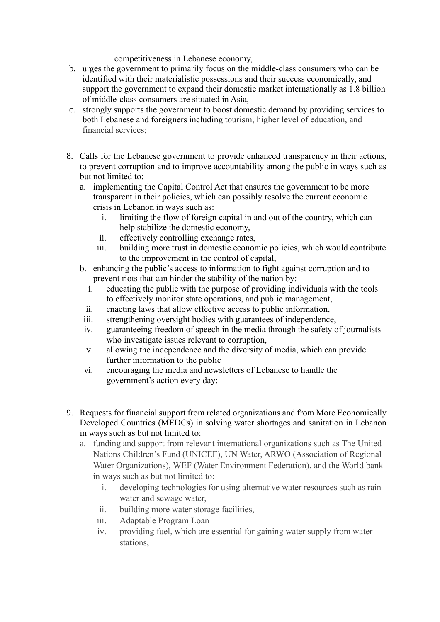competitiveness in Lebanese economy,

- b. urges the government to primarily focus on the middle-class consumers who can be identified with their materialistic possessions and their success economically, and support the government to expand their domestic market internationally as 1.8 billion of middle-class consumers are situated in Asia,
- c. strongly supports the government to boost domestic demand by providing services to both Lebanese and foreigners including tourism, higher level of education, and financial services;
- 8. Calls for the Lebanese government to provide enhanced transparency in their actions, to prevent corruption and to improve accountability among the public in ways such as but not limited to:
	- a. implementing the Capital Control Act that ensures the government to be more transparent in their policies, which can possibly resolve the current economic crisis in Lebanon in ways such as:
		- i. limiting the flow of foreign capital in and out of the country, which can help stabilize the domestic economy,
		- ii. effectively controlling exchange rates,
		- iii. building more trust in domestic economic policies, which would contribute to the improvement in the control of capital,
	- b. enhancing the public's access to information to fight against corruption and to prevent riots that can hinder the stability of the nation by:
		- i. educating the public with the purpose of providing individuals with the tools to effectively monitor state operations, and public management,
		- ii. enacting laws that allow effective access to public information,
	- iii. strengthening oversight bodies with guarantees of independence,
	- iv. guaranteeing freedom of speech in the media through the safety of journalists who investigate issues relevant to corruption,
	- v. allowing the independence and the diversity of media, which can provide further information to the public
	- vi. encouraging the media and newsletters of Lebanese to handle the government's action every day;
- 9. Requests for financial support from related organizations and from More Economically Developed Countries (MEDCs) in solving water shortages and sanitation in Lebanon in ways such as but not limited to:
	- a. funding and support from relevant international organizations such as The United Nations Children's Fund (UNICEF), UN Water, ARWO (Association of Regional Water Organizations), WEF (Water Environment Federation), and the World bank in ways such as but not limited to:
		- i. developing technologies for using alternative water resources such as rain water and sewage water,
		- ii. building more water storage facilities,
		- iii. Adaptable Program Loan
		- iv. providing fuel, which are essential for gaining water supply from water stations,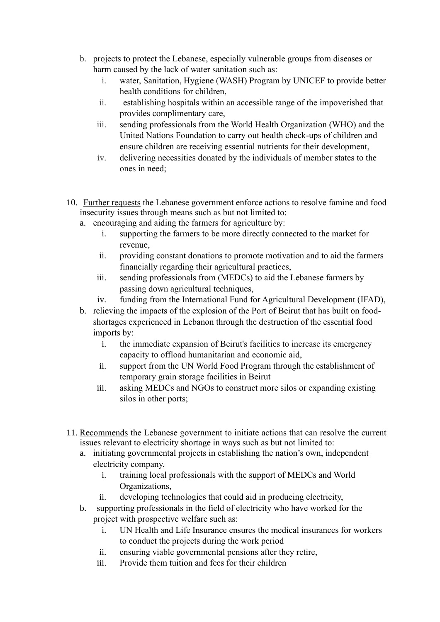- b. projects to protect the Lebanese, especially vulnerable groups from diseases or harm caused by the lack of water sanitation such as:
	- i. water, Sanitation, Hygiene (WASH) Program by UNICEF to provide better health conditions for children,
	- ii. establishing hospitals within an accessible range of the impoverished that provides complimentary care,
	- iii. sending professionals from the World Health Organization (WHO) and the United Nations Foundation to carry out health check-ups of children and ensure children are receiving essential nutrients for their development,
	- iv. delivering necessities donated by the individuals of member states to the ones in need;
- 10. Further requests the Lebanese government enforce actions to resolve famine and food insecurity issues through means such as but not limited to:
	- a. encouraging and aiding the farmers for agriculture by:
		- i. supporting the farmers to be more directly connected to the market for revenue,
		- ii. providing constant donations to promote motivation and to aid the farmers financially regarding their agricultural practices,
		- iii. sending professionals from (MEDCs) to aid the Lebanese farmers by passing down agricultural techniques,
		- iv. funding from the International Fund for Agricultural Development (IFAD),
	- b. relieving the impacts of the explosion of the Port of Beirut that has built on foodshortages experienced in Lebanon through the destruction of the essential food imports by:
		- i. the immediate expansion of Beirut's facilities to increase its emergency capacity to offload humanitarian and economic aid,
		- ii. support from the UN World Food Program through the establishment of temporary grain storage facilities in Beirut
		- iii. asking MEDCs and NGOs to construct more silos or expanding existing silos in other ports;
- 11. Recommends the Lebanese government to initiate actions that can resolve the current issues relevant to electricity shortage in ways such as but not limited to:
	- a. initiating governmental projects in establishing the nation's own, independent electricity company,
		- i. training local professionals with the support of MEDCs and World Organizations,
		- ii. developing technologies that could aid in producing electricity,
	- b. supporting professionals in the field of electricity who have worked for the project with prospective welfare such as:
		- i. UN Health and Life Insurance ensures the medical insurances for workers to conduct the projects during the work period
		- ii. ensuring viable governmental pensions after they retire,
		- iii. Provide them tuition and fees for their children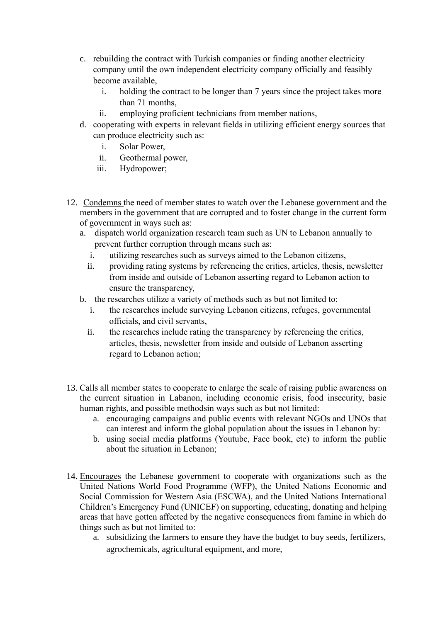- c. rebuilding the contract with Turkish companies or finding another electricity company until the own independent electricity company officially and feasibly become available,
	- i. holding the contract to be longer than 7 years since the project takes more than 71 months,
	- ii. employing proficient technicians from member nations,
- d. cooperating with experts in relevant fields in utilizing efficient energy sources that can produce electricity such as:
	- i. Solar Power,
	- ii. Geothermal power,
	- iii. Hydropower;
- 12. Condemns the need of member states to watch over the Lebanese government and the members in the government that are corrupted and to foster change in the current form of government in ways such as:
	- a. dispatch world organization research team such as UN to Lebanon annually to prevent further corruption through means such as:
		- i. utilizing researches such as surveys aimed to the Lebanon citizens,
		- ii. providing rating systems by referencing the critics, articles, thesis, newsletter from inside and outside of Lebanon asserting regard to Lebanon action to ensure the transparency,
	- b. the researches utilize a variety of methods such as but not limited to:
		- i. the researches include surveying Lebanon citizens, refuges, governmental officials, and civil servants,
		- ii. the researches include rating the transparency by referencing the critics, articles, thesis, newsletter from inside and outside of Lebanon asserting regard to Lebanon action;
- 13. Calls all member states to cooperate to enlarge the scale of raising public awareness on the current situation in Labanon, including economic crisis, food insecurity, basic human rights, and possible methodsin ways such as but not limited:
	- a. encouraging campaigns and public events with relevant NGOs and UNOs that can interest and inform the global population about the issues in Lebanon by:
	- b. using social media platforms (Youtube, Face book, etc) to inform the public about the situation in Lebanon;
- 14. Encourages the Lebanese government to cooperate with organizations such as the United Nations World Food Programme (WFP), the United Nations Economic and Social Commission for Western Asia (ESCWA), and the United Nations International Children's Emergency Fund (UNICEF) on supporting, educating, donating and helping areas that have gotten affected by the negative consequences from famine in which do things such as but not limited to:
	- a. subsidizing the farmers to ensure they have the budget to buy seeds, fertilizers, agrochemicals, agricultural equipment, and more,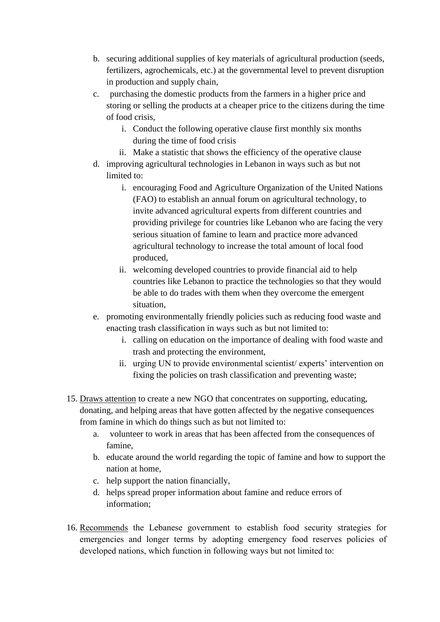- b. securing additional supplies of key materials of agricultural production (seeds, fertilizers, agrochemicals, etc.) at the governmental level to prevent disruption in production and supply chain,
- c. purchasing the domestic products from the farmers in a higher price and storing or selling the products at a cheaper price to the citizens during the time of food crisis,
	- i. Conduct the following operative clause first monthly six months during the time of food crisis
	- ii. Make a statistic that shows the efficiency of the operative clause
- d. improving agricultural technologies in Lebanon in ways such as but not limited to:
	- i. encouraging Food and Agriculture Organization of the United Nations (FAO) to establish an annual forum on agricultural technology, to invite advanced agricultural experts from different countries and providing privilege for countries like Lebanon who are facing the very serious situation of famine to learn and practice more advanced agricultural technology to increase the total amount of local food produced,
	- ii. welcoming developed countries to provide financial aid to help countries like Lebanon to practice the technologies so that they would be able to do trades with them when they overcome the emergent situation,
- e. promoting environmentally friendly policies such as reducing food waste and enacting trash classification in ways such as but not limited to:
	- i. calling on education on the importance of dealing with food waste and trash and protecting the environment,
	- ii. urging UN to provide environmental scientist/ experts' intervention on fixing the policies on trash classification and preventing waste;
- 15. Draws attention to create a new NGO that concentrates on supporting, educating, donating, and helping areas that have gotten affected by the negative consequences from famine in which do things such as but not limited to:
	- a. volunteer to work in areas that has been affected from the consequences of famine,
	- b. educate around the world regarding the topic of famine and how to support the nation at home,
	- c. help support the nation financially,
	- d. helps spread proper information about famine and reduce errors of information;
- 16. Recommends the Lebanese government to establish food security strategies for emergencies and longer terms by adopting emergency food reserves policies of developed nations, which function in following ways but not limited to: